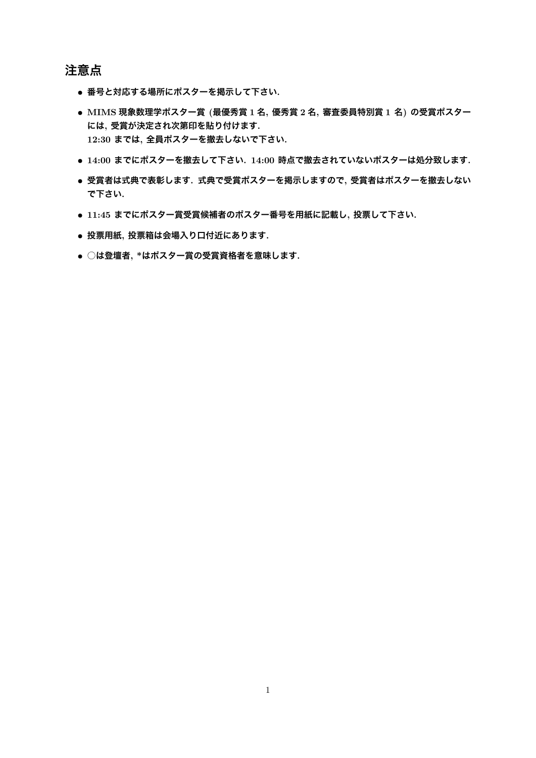## **注意点**

- *•* **番号と対応する場所にポスターを掲示して下さい.**
- *•* **MIMS 現象数理学ポスター賞 (最優秀賞 1 <sup>名</sup>, 優秀賞 2 <sup>名</sup>, 審査委員特別賞 1 <sup>名</sup>) の受賞ポスター には, 受賞が決定され次第印を貼り付けます. 12:30 までは, 全員ポスターを撤去しないで下さい.**
- *•* **14:00 までにポスターを撤去して下さい. 14:00 時点で撤去されていないポスターは処分致します.**
- *•* **受賞者は式典で表彰します. 式典で受賞ポスターを掲示しますので, 受賞者はポスターを撤去しない で下さい.**
- *•* **11:45 までにポスター賞受賞候補者のポスター番号を用紙に記載し, 投票して下さい.**
- *•* **投票用紙, 投票箱は会場入り口付近にあります.**
- *•* **○は登壇者, \*はポスター賞の受賞資格者を意味します.**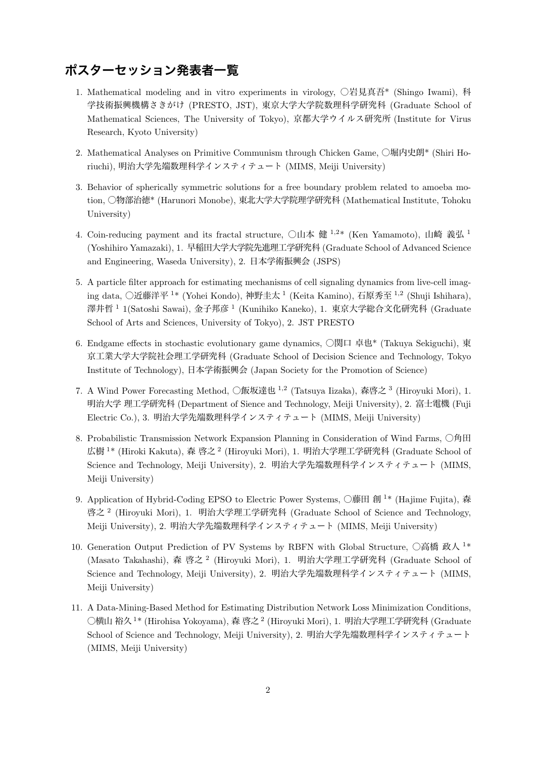## **ポスターセッション発表者一覧**

- 1. Mathematical modeling and in vitro experiments in virology, ○岩見真吾\* (Shingo Iwami), 科 学技術振興機構さきがけ (PRESTO, JST), 東京大学大学院数理科学研究科 (Graduate School of Mathematical Sciences, The University of Tokyo), 京都大学ウイルス研究所 (Institute for Virus Research, Kyoto University)
- 2. Mathematical Analyses on Primitive Communism through Chicken Game, ○堀内史朗\* (Shiri Horiuchi), 明治大学先端数理科学インスティテュート (MIMS, Meiji University)
- 3. Behavior of spherically symmetric solutions for a free boundary problem related to amoeba motion, ○物部治徳\* (Harunori Monobe), 東北大学大学院理学研究科 (Mathematical Institute, Tohoku University)
- 4. Coin-reducing payment and its fractal structure, ○山本 健 <sup>1</sup>*,*<sup>2</sup>\* (Ken Yamamoto), 山崎 義弘 <sup>1</sup> (Yoshihiro Yamazaki), 1. 早稲田大学大学院先進理工学研究科 (Graduate School of Advanced Science and Engineering, Waseda University), 2. 日本学術振興会 (JSPS)
- 5. A particle filter approach for estimating mechanisms of cell signaling dynamics from live-cell imaging data, ○近藤洋平 <sup>1</sup>\* (Yohei Kondo), 神野圭太 <sup>1</sup> (Keita Kamino), 石原秀至 <sup>1</sup>*,*<sup>2</sup> (Shuji Ishihara), 澤井哲<sup>1</sup> 1(Satoshi Sawai), 金子邦彦<sup>1</sup> (Kunihiko Kaneko), 1. 東京大学総合文化研究科 (Graduate School of Arts and Sciences, University of Tokyo), 2. JST PRESTO
- 6. Endgame effects in stochastic evolutionary game dynamics, ○関口 卓也\* (Takuya Sekiguchi), 東 京工業大学大学院社会理工学研究科 (Graduate School of Decision Science and Technology, Tokyo Institute of Technology), 日本学術振興会 (Japan Society for the Promotion of Science)
- 7. A Wind Power Forecasting Method, ○飯坂達也 <sup>1</sup>*,*<sup>2</sup> (Tatsuya Iizaka), 森啓之 <sup>3</sup> (Hiroyuki Mori), 1. 明治大学 理工学研究科 (Department of Sience and Technology, Meiji University), 2. 富士電機 (Fuji Electric Co.), 3. 明治大学先端数理科学インスティテュート (MIMS, Meiji University)
- 8. Probabilistic Transmission Network Expansion Planning in Consideration of Wind Farms, ○角田 広樹 <sup>1</sup>\* (Hiroki Kakuta), 森 啓之 <sup>2</sup> (Hiroyuki Mori), 1. 明治大学理工学研究科 (Graduate School of Science and Technology, Meiji University), 2. 明治大学先端数理科学インスティテュート (MIMS, Meiji University)
- 9. Application of Hybrid-Coding EPSO to Electric Power Systems, ○藤田 創<sup>1\*</sup> (Hajime Fujita), 森 啓之 <sup>2</sup> (Hiroyuki Mori), 1. 明治大学理工学研究科 (Graduate School of Science and Technology, Meiji University), 2. 明治大学先端数理科学インスティテュート (MIMS, Meiji University)
- 10. Generation Output Prediction of PV Systems by RBFN with Global Structure, ○高橋 政人 <sup>1</sup>\* (Masato Takahashi), 森 啓之 <sup>2</sup> (Hiroyuki Mori), 1. 明治大学理工学研究科 (Graduate School of Science and Technology, Meiji University), 2. 明治大学先端数理科学インスティテュート (MIMS, Meiji University)
- 11. A Data-Mining-Based Method for Estimating Distribution Network Loss Minimization Conditions, ○横山 裕久 <sup>1</sup>\* (Hirohisa Yokoyama), 森 啓之 <sup>2</sup> (Hiroyuki Mori), 1. 明治大学理工学研究科 (Graduate School of Science and Technology, Meiji University), 2. 明治大学先端数理科学インスティテュート (MIMS, Meiji University)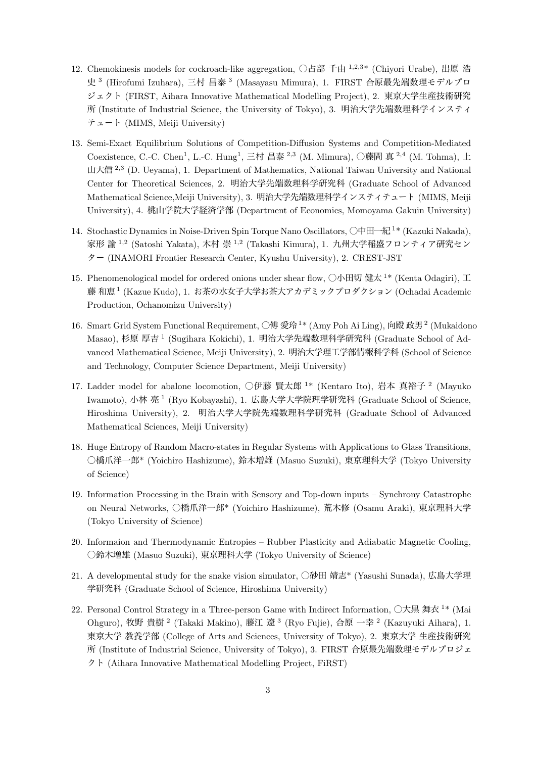- 12. Chemokinesis models for cockroach-like aggregation, ○占部 千由 <sup>1</sup>*,*2*,*<sup>3</sup>\* (Chiyori Urabe), 出原 浩 史 <sup>3</sup> (Hirofumi Izuhara), 三村 昌泰 <sup>3</sup> (Masayasu Mimura), 1. FIRST 合原最先端数理モデルプロ ジェクト (FIRST, Aihara Innovative Mathematical Modelling Project), 2. 東京大学生産技術研究 所 (Institute of Industrial Science, the University of Tokyo), 3. 明治大学先端数理科学インスティ テュート (MIMS, Meiji University)
- 13. Semi-Exact Equilibrium Solutions of Competition-Diffusion Systems and Competition-Mediated Coexistence, C.-C. Chen<sup>1</sup>, L.-C. Hung<sup>1</sup>, 三村 昌泰<sup>2,3</sup> (M. Mimura), ○藤間 真<sup>2,4</sup> (M. Tohma), 上 山大信 <sup>2</sup>*,*<sup>3</sup> (D. Ueyama), 1. Department of Mathematics, National Taiwan University and National Center for Theoretical Sciences, 2. 明治大学先端数理科学研究科 (Graduate School of Advanced Mathematical Science,Meiji University), 3. 明治大学先端数理科学インスティテュート (MIMS, Meiji University), 4. 桃山学院大学経済学部 (Department of Economics, Momoyama Gakuin University)
- 14. Stochastic Dynamics in Noise-Driven Spin Torque Nano Oscillators,  $\Box \Box \Box^T *$  (Kazuki Nakada), 家形 諭 <sup>1</sup>*,*<sup>2</sup> (Satoshi Yakata), 木村 崇 <sup>1</sup>*,*<sup>2</sup> (Takashi Kimura), 1. 九州大学稲盛フロンティア研究セン ター (INAMORI Frontier Research Center, Kyushu University), 2. CREST-JST
- 15. Phenomenological model for ordered onions under shear flow,  $\Diamond \wedge \Box \Box$  (Kenta Odagiri),  $\Box$ 藤 和恵 <sup>1</sup> (Kazue Kudo), 1. お茶の水女子大学お茶大アカデミックプロダクション (Ochadai Academic Production, Ochanomizu University)
- 16. Smart Grid System Functional Requirement, ○傅 愛玲 <sup>1</sup> \* (Amy Poh Ai Ling), 向殿 政男 <sup>2</sup> (Mukaidono Masao), 杉原 厚吉 <sup>1</sup> (Sugihara Kokichi), 1. 明治大学先端数理科学研究科 (Graduate School of Advanced Mathematical Science, Meiji University), 2. 明治大学理工学部情報科学科 (School of Science and Technology, Computer Science Department, Meiji University)
- 17. Ladder model for abalone locomotion, ○伊藤 賢太郎 <sup>1\*</sup> (Kentaro Ito), 岩本 真裕子 <sup>2</sup> (Mayuko Iwamoto), 小林 亮 <sup>1</sup> (Ryo Kobayashi), 1. 広島大学大学院理学研究科 (Graduate School of Science, Hiroshima University), 2. 明治大学大学院先端数理科学研究科 (Graduate School of Advanced Mathematical Sciences, Meiji University)
- 18. Huge Entropy of Random Macro-states in Regular Systems with Applications to Glass Transitions, ○橋爪洋一郎\* (Yoichiro Hashizume), 鈴木増雄 (Masuo Suzuki), 東京理科大学 (Tokyo University of Science)
- 19. Information Processing in the Brain with Sensory and Top-down inputs Synchrony Catastrophe on Neural Networks, ○橋爪洋一郎\* (Yoichiro Hashizume), 荒木修 (Osamu Araki), 東京理科大学 (Tokyo University of Science)
- 20. Informaion and Thermodynamic Entropies Rubber Plasticity and Adiabatic Magnetic Cooling, ○鈴木増雄 (Masuo Suzuki), 東京理科大学 (Tokyo University of Science)
- 21. A developmental study for the snake vision simulator, ○砂田 靖志\* (Yasushi Sunada), 広島大学理 学研究科 (Graduate School of Science, Hiroshima University)
- 22. Personal Control Strategy in a Three-person Game with Indirect Information,  $\Diamond \nabla \ddot{\mathbb{R}}$  舞衣 <sup>1\*</sup> (Mai Ohguro), 牧野 貴樹<sup>2</sup> (Takaki Makino), 藤江 遼<sup>3</sup> (Ryo Fujie), 合原 一幸<sup>2</sup> (Kazuyuki Aihara), 1. 東京大学 教養学部 (College of Arts and Sciences, University of Tokyo), 2. 東京大学 生産技術研究 所 (Institute of Industrial Science, University of Tokyo), 3. FIRST 合原最先端数理モデルプロジェ クト (Aihara Innovative Mathematical Modelling Project, FiRST)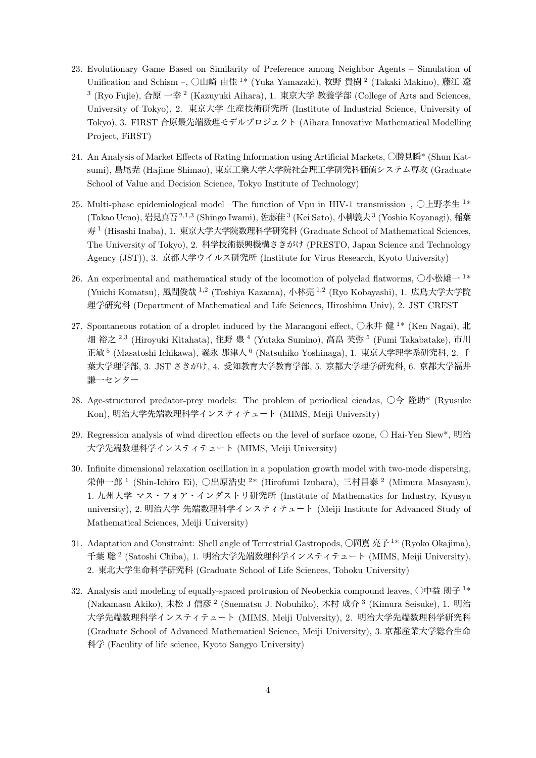- 23. Evolutionary Game Based on Similarity of Preference among Neighbor Agents Simulation of Unification and Schism –, ○山崎 由佳 <sup>1\*</sup> (Yuka Yamazaki), 牧野 貴樹 <sup>2</sup> (Takaki Makino), 藤江 遼 <sup>3</sup> (Ryo Fujie), 合原 一幸<sup>2</sup> (Kazuyuki Aihara), 1. 東京大学 教養学部 (College of Arts and Sciences, University of Tokyo), 2. 東京大学 生産技術研究所 (Institute of Industrial Science, University of Tokyo), 3. FIRST 合原最先端数理モデルプロジェクト (Aihara Innovative Mathematical Modelling Project, FiRST)
- 24. An Analysis of Market Effects of Rating Information using Artificial Markets, ○勝見瞬\* (Shun Katsumi), 島尾尭 (Hajime Shimao), 東京工業大学大学院社会理工学研究科価値システム専攻 (Graduate School of Value and Decision Science, Tokyo Institute of Technology)
- 25. Multi-phase epidemiological model –The function of Vpu in HIV-1 transmission–,  $\bigcirc$ 上野孝生  $1*$ (Takao Ueno), 岩見真吾<sup>2,1,3</sup> (Shingo Iwami), 佐藤佳<sup>3</sup> (Kei Sato), 小柳義夫<sup>3</sup> (Yoshio Koyanagi), 稲葉 寿 <sup>1</sup> (Hisashi Inaba), 1. 東京大学大学院数理科学研究科 (Graduate School of Mathematical Sciences, The University of Tokyo), 2. 科学技術振興機構さきがけ (PRESTO, Japan Science and Technology Agency (JST)), 3. 京都大学ウイルス研究所 (Institute for Virus Research, Kyoto University)
- 26. An experimental and mathematical study of the locomotion of polyclad flatworms,  $\bigcirc$ 小松雄 $-1^*$ (Yuichi Komatsu), 風間俊哉 <sup>1</sup>*,*<sup>2</sup> (Toshiya Kazama), 小林亮 <sup>1</sup>*,*<sup>2</sup> (Ryo Kobayashi), 1. 広島大学大学院 理学研究科 (Department of Mathematical and Life Sciences, Hiroshima Univ), 2. JST CREST
- 27. Spontaneous rotation of a droplet induced by the Marangoni effect,  $\bigcirc \mathbf{\hat{x}}$ 井 健 <sup>1\*</sup> (Ken Nagai), 北 畑 裕之 <sup>2,3</sup> (Hiroyuki Kitahata), 住野 豊 <sup>4</sup> (Yutaka Sumino), 高畠 芙弥 <sup>5</sup> (Fumi Takabatake), 市川 正敏 <sup>5</sup> (Masatoshi Ichikawa), 義永 那津人 <sup>6</sup> (Natsuhiko Yoshinaga), 1. 東京大学理学系研究科, 2. 千 葉大学理学部, 3. JST さきがけ, 4. 愛知教育大学教育学部, 5. 京都大学理学研究科, 6. 京都大学福井 謙一センター
- 28. Age-structured predator-prey models: The problem of periodical cicadas, ○今 隆助\* (Ryusuke Kon), 明治大学先端数理科学インスティテュート (MIMS, Meiji University)
- 29. Regression analysis of wind direction effects on the level of surface ozone, Hai-Yen Siew\*, 明治 大学先端数理科学インスティテュート (MIMS, Meiji University)
- 30. Infinite dimensional relaxation oscillation in a population growth model with two-mode dispersing, 栄伸一郎 1 (Shin-Ichiro Ei), ○出原浩史 <sup>2</sup>\* (Hirofumi Izuhara), 三村昌泰 <sup>2</sup> (Mimura Masayasu), 1. 九州大学 マス・フォア・インダストリ研究所 (Institute of Mathematics for Industry, Kyusyu university), 2. 明治大学 先端数理科学インスティテュート (Meiji Institute for Advanced Study of Mathematical Sciences, Meiji University)
- 31. Adaptation and Constraint: Shell angle of Terrestrial Gastropods, ○岡嶌 亮子 <sup>1</sup>\* (Ryoko Okajima), 千葉 聡 <sup>2</sup> (Satoshi Chiba), 1. 明治大学先端数理科学インスティテュート (MIMS, Meiji University), 2. 東北大学生命科学研究科 (Graduate School of Life Sciences, Tohoku University)
- 32. Analysis and modeling of equally-spaced protrusion of Neobeckia compound leaves,  $\Box$ 中益 朗子 <sup>1\*</sup> (Nakamasu Akiko), 末松 J 信彦<sup>2</sup> (Suematsu J. Nobuhiko), 木村 成介<sup>3</sup> (Kimura Seisuke), 1. 明治 大学先端数理科学インスティテュート (MIMS, Meiji University), 2. 明治大学先端数理科学研究科 (Graduate School of Advanced Mathematical Science, Meiji University), 3. 京都産業大学総合生命 科学 (Faculity of life science, Kyoto Sangyo University)